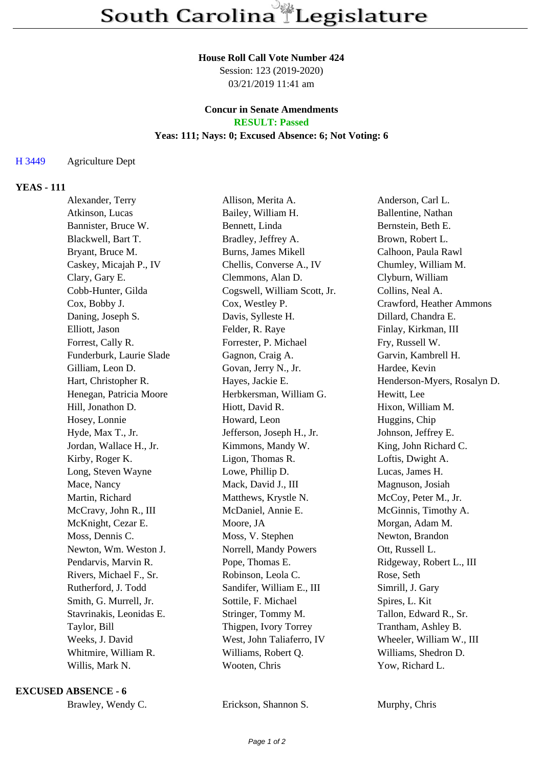#### **House Roll Call Vote Number 424**

Session: 123 (2019-2020) 03/21/2019 11:41 am

### **Concur in Senate Amendments RESULT: Passed**

#### **Yeas: 111; Nays: 0; Excused Absence: 6; Not Voting: 6**

## H 3449 Agriculture Dept

## **YEAS - 111**

| Alexander, Terry         | Allison, Merita A.           | Anderson, Carl L.           |
|--------------------------|------------------------------|-----------------------------|
| Atkinson, Lucas          | Bailey, William H.           | Ballentine, Nathan          |
| Bannister, Bruce W.      | Bennett, Linda               | Bernstein, Beth E.          |
| Blackwell, Bart T.       | Bradley, Jeffrey A.          | Brown, Robert L.            |
| Bryant, Bruce M.         | Burns, James Mikell          | Calhoon, Paula Rawl         |
| Caskey, Micajah P., IV   | Chellis, Converse A., IV     | Chumley, William M.         |
| Clary, Gary E.           | Clemmons, Alan D.            | Clyburn, William            |
| Cobb-Hunter, Gilda       | Cogswell, William Scott, Jr. | Collins, Neal A.            |
| Cox, Bobby J.            | Cox, Westley P.              | Crawford, Heather Ammons    |
| Daning, Joseph S.        | Davis, Sylleste H.           | Dillard, Chandra E.         |
| Elliott, Jason           | Felder, R. Raye              | Finlay, Kirkman, III        |
| Forrest, Cally R.        | Forrester, P. Michael        | Fry, Russell W.             |
| Funderburk, Laurie Slade | Gagnon, Craig A.             | Garvin, Kambrell H.         |
| Gilliam, Leon D.         | Govan, Jerry N., Jr.         | Hardee, Kevin               |
| Hart, Christopher R.     | Hayes, Jackie E.             | Henderson-Myers, Rosalyn D. |
| Henegan, Patricia Moore  | Herbkersman, William G.      | Hewitt, Lee                 |
| Hill, Jonathon D.        | Hiott, David R.              | Hixon, William M.           |
| Hosey, Lonnie            | Howard, Leon                 | Huggins, Chip               |
| Hyde, Max T., Jr.        | Jefferson, Joseph H., Jr.    | Johnson, Jeffrey E.         |
| Jordan, Wallace H., Jr.  | Kimmons, Mandy W.            | King, John Richard C.       |
| Kirby, Roger K.          | Ligon, Thomas R.             | Loftis, Dwight A.           |
| Long, Steven Wayne       | Lowe, Phillip D.             | Lucas, James H.             |
| Mace, Nancy              | Mack, David J., III          | Magnuson, Josiah            |
| Martin, Richard          | Matthews, Krystle N.         | McCoy, Peter M., Jr.        |
| McCravy, John R., III    | McDaniel, Annie E.           | McGinnis, Timothy A.        |
| McKnight, Cezar E.       | Moore, JA                    | Morgan, Adam M.             |
| Moss, Dennis C.          | Moss, V. Stephen             | Newton, Brandon             |
| Newton, Wm. Weston J.    | Norrell, Mandy Powers        | Ott, Russell L.             |
| Pendarvis, Marvin R.     | Pope, Thomas E.              | Ridgeway, Robert L., III    |
| Rivers, Michael F., Sr.  | Robinson, Leola C.           | Rose, Seth                  |
| Rutherford, J. Todd      | Sandifer, William E., III    | Simrill, J. Gary            |
| Smith, G. Murrell, Jr.   | Sottile, F. Michael          | Spires, L. Kit              |
| Stavrinakis, Leonidas E. | Stringer, Tommy M.           | Tallon, Edward R., Sr.      |
| Taylor, Bill             | Thigpen, Ivory Torrey        | Trantham, Ashley B.         |
| Weeks, J. David          | West, John Taliaferro, IV    | Wheeler, William W., III    |
| Whitmire, William R.     | Williams, Robert Q.          | Williams, Shedron D.        |
| Willis, Mark N.          | Wooten, Chris                | Yow, Richard L.             |
|                          |                              |                             |

### **EXCUSED ABSENCE - 6**

Erickson, Shannon S. Murphy, Chris